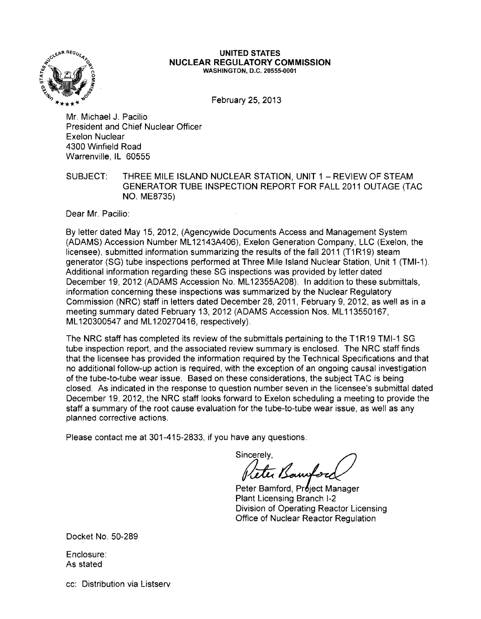

#### UNITED STATES NUCLEAR REGULATORY COMMISSION WASHINGTON, D.C. 20555-0001

February 25, 2013

Mr. Michael J. Pacilio President and Chief Nuclear Officer Exelon Nuclear 4300 Winfield Road Warrenville, IL 60555

## SUBJECT: THREE MILE ISLAND NUCLEAR STATION, UNIT 1 - REVIEW OF STEAM GENERATOR TUBE INSPECTION REPORT FOR FALL 2011 OUTAGE (TAC NO. ME8735)

Dear Mr. Pacilio:

By letter dated May 15, 2012, (Agencywide Documents Access and Management System (ADAMS) Accession Number ML 12143A406), Exelon Generation Company, LLC (Exelon, the licensee), submitted information summarizing the results of the fall 2011 (T1R19) steam generator (SG) tube inspections performed at Three Mile Island Nuclear Station, Unit 1 (TMI-1). Additional information regarding these SG inspections was provided by letter dated December 19, 2012 (ADAMS Accession No. ML 12355A208). In addition to these submittals, information concerning these inspections was summarized by the Nuclear Regulatory Commission (NRC) staff in letters dated December 28,2011, February 9,2012, as well as in a meeting summary dated February 13, 2012 (ADAMS Accession Nos. ML 113550167, ML120300547 and ML 120270416, respectively).

The NRC staff has completed its review of the submittals pertaining to the T1 R19 TMI-1 SG tube inspection report, and the associated review summary is enclosed. The NRC staff finds that the licensee has provided the information required by the Technical Specifications and that no additional follow-up action is required, with the exception of an ongoing causal investigation of the tube-to-tube wear issue. Based on these considerations, the subject TAC is being closed. As indicated in the response to question number seven in the licensee's submittal dated December 19, 2012, the NRC staff looks forward to Exelon scheduling a meeting to provide the staff a summary of the root cause evaluation for the tube-to-tube wear issue, as well as any planned corrective actions.

Please contact me at 301-415-2833, if you have any questions.

Sincerely, ter Bannfor

Peter Bamford, Project Manager Plant Licensing Branch 1-2 Division of Operating Reactor Licensing Office of Nuclear Reactor Regulation

Docket No. 50-289

Enclosure: As stated

cc: Distribution via Listserv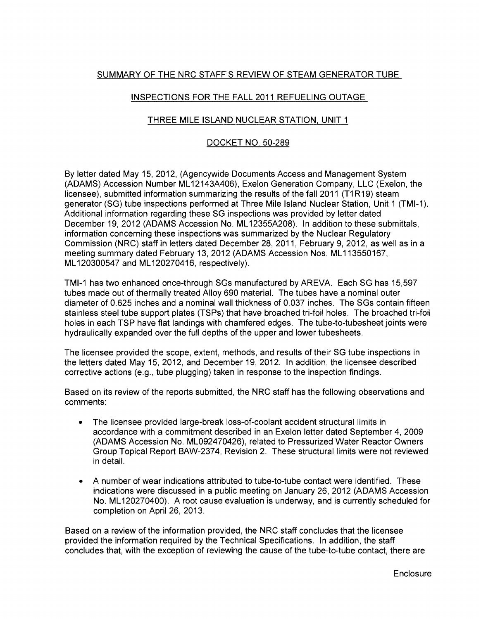# SUMMARY OF THE NRC STAFF'S REVIEW OF STEAM GENERATOR TUBE

## INSPECTIONS FOR THE FALL 2011 REFUELING OUTAGE

## THREE MILE ISLAND NUCLEAR STATION, UNIT 1

## DOCKET NO. 50-289

By letter dated May 15, 2012, (Agencywide Documents Access and Management System (ADAMS) Accession Number ML 12143A406), Exelon Generation Company, LLC (Exelon, the licensee), submitted information summarizing the results of the fall 2011 (T1R19) steam generator (SG) tube inspections performed at Three Mile Island Nuclear Station, Unit 1 (TMI-1). Additional information regarding these SG inspections was provided by letter dated December 19, 2012 (ADAMS Accession No. ML 12355A208). In addition to these submittals, information concerning these inspections was summarized by the Nuclear Regulatory Commission (NRC) staff in letters dated December 28, 2011, February 9, 2012, as well as in a meeting summary dated February 13, 2012 (ADAMS Accession Nos. ML113550167, ML 120300547 and ML 120270416, respectively).

TMI-1 has two enhanced once-through SGs manufactured by AREVA. Each SG has 15,597 tubes made out of thermally treated Alloy 690 material. The tubes have a nominal outer diameter of 0.625 inches and a nominal wall thickness of 0.037 inches. The SGs contain fifteen stainless steel tube support plates (TSPs) that have broached tri-foil holes. The broached tri-foil holes in each TSP have flat landings with chamfered edges. The tube-to-tubesheet joints were hydraulically expanded over the full depths of the upper and lower tubesheets.

The licensee provided the scope, extent, methods, and results of their SG tube inspections in the letters dated May 15, 2012, and December 19, 2012. In addition, the licensee described corrective actions (e.g., tube plugging) taken in response to the inspection findings.

Based on its review of the reports submitted, the NRC staff has the following observations and comments:

- The licensee provided large-break loss-of-coolant accident structural limits in accordance with a commitment described in an Exelon letter dated September 4, 2009 (ADAMS Accession No. ML092470426), related to Pressurized Water Reactor Owners Group Topical Report BAW-2374, Revision 2. These structural limits were not reviewed in detail.
- A number of wear indications attributed to tube-to-tube contact were identified. These indications were discussed in a public meeting on January 26, 2012 (ADAMS Accession No. ML 120270400). A root cause evaluation is underway, and is currently scheduled for completion on April 26, 2013.

Based on a review of the information provided, the NRC staff concludes that the licensee provided the information required by the Technical Specifications. In addition, the staff concludes that, with the exception of reviewing the cause of the tube-to-tube contact, there are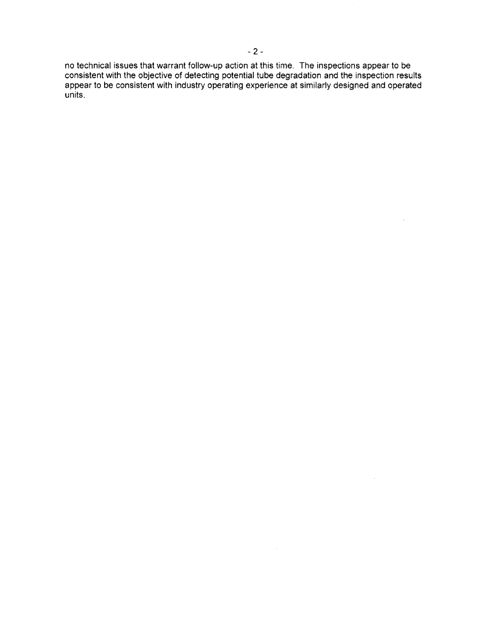no technical issues that warrant follow-up action at this time. The inspections appear to be consistent with the objective of detecting potential tube degradation and the inspection results appear to be consistent with industry operating experience at similarly designed and operated units.

 $\ddot{\phantom{a}}$ 

 $\mathcal{A}$ 

 $\mathcal{L}$